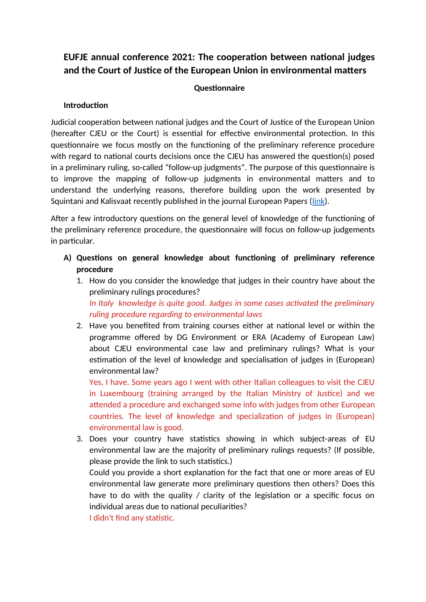# **EUFJE annual conference 2021: The cooperation between national judges and the Court of Justice of the European Union in environmental matters**

## **Questionnaire**

#### **Introduction**

Judicial cooperation between national judges and the Court of Justice of the European Union (hereafter CJEU or the Court) is essential for effective environmental protection. In this questionnaire we focus mostly on the functioning of the preliminary reference procedure with regard to national courts decisions once the CJEU has answered the question(s) posed in a preliminary ruling, so-called "follow-up judgments". The purpose of this questionnaire is to improve the mapping of follow-up judgments in environmental matters and to understand the underlying reasons, therefore building upon the work presented by Squintani and Kalisvaat recently published in the journal European Papers (link).

After a few introductory questions on the general level of knowledge of the functioning of the preliminary reference procedure, the questionnaire will focus on follow-up judgements in particular.

- **A) Questions on general knowledge about functioning of preliminary reference procedure**
	- 1. How do you consider the knowledge that judges in their country have about the preliminary rulings procedures? *In Italy knowledge is quite good. Judges in some cases activated the preliminary ruling procedure regarding to environmental laws*
	- 2. Have you benefited from training courses either at national level or within the programme offered by DG Environment or ERA (Academy of European Law) about CJEU environmental case law and preliminary rulings? What is your estimation of the level of knowledge and specialisation of judges in (European) environmental law?

Yes, I have. Some years ago I went with other Italian colleagues to visit the CJEU in Luxembourg (training arranged by the Italian Ministry of Justice) and we attended a procedure and exchanged some info with judges from other European countries. The level of knowledge and specialization of judges in (European) environmental law is good.

3. Does your country have statistics showing in which subject-areas of EU environmental law are the majority of preliminary rulings requests? (If possible, please provide the link to such statistics.)

Could you provide a short explanation for the fact that one or more areas of EU environmental law generate more preliminary questions then others? Does this have to do with the quality / clarity of the legislation or a specific focus on individual areas due to national peculiarities?

I didn't find any statistic.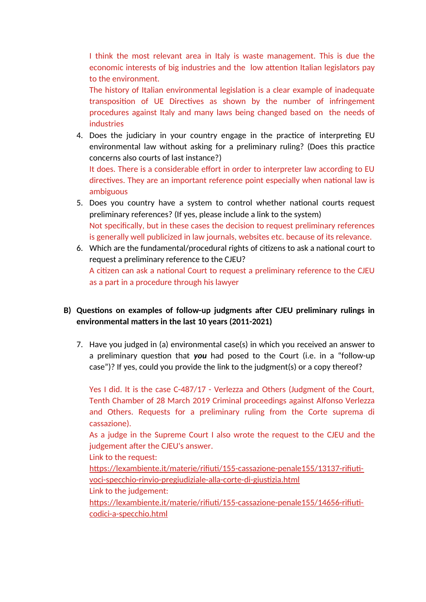I think the most relevant area in Italy is waste management. This is due the economic interests of big industries and the low attention Italian legislators pay to the environment.

The history of Italian environmental legislation is a clear example of inadequate transposition of UE Directives as shown by the number of infringement procedures against Italy and many laws being changed based on the needs of industries

4. Does the judiciary in your country engage in the practice of interpreting EU environmental law without asking for a preliminary ruling? (Does this practice concerns also courts of last instance?)

It does. There is a considerable effort in order to interpreter law according to EU directives. They are an important reference point especially when national law is ambiguous

- 5. Does you country have a system to control whether national courts request preliminary references? (If yes, please include a link to the system) Not specifically, but in these cases the decision to request preliminary references is generally well publicized in law journals, websites etc. because of its relevance.
- 6. Which are the fundamental/procedural rights of citizens to ask a national court to request a preliminary reference to the CJEU? A citizen can ask a national Court to request a preliminary reference to the CJEU as a part in a procedure through his lawyer

# **B) Questions on examples of follow-up judgments after CJEU preliminary rulings in environmental matters in the last 10 years (2011-2021)**

7. Have you judged in (a) environmental case(s) in which you received an answer to a preliminary question that *you* had posed to the Court (i.e. in a "follow-up case")? If yes, could you provide the link to the judgment(s) or a copy thereof?

Yes I did. It is the case C-487/17 - Verlezza and Others (Judgment of the Court, Tenth Chamber of 28 March 2019 Criminal proceedings against Alfonso Verlezza and Others. Requests for a preliminary ruling from the Corte suprema di cassazione).

As a judge in the Supreme Court I also wrote the request to the CJEU and the judgement after the CJEU's answer.

Link to the request:

[https://lexambiente.it/materie/rifiuti/155-cassazione-penale155/13137-rifiuti](https://lexambiente.it/materie/rifiuti/155-cassazione-penale155/13137-rifiuti-voci-specchio-rinvio-pregiudiziale-alla-corte-di-giustizia.html)[voci-specchio-rinvio-pregiudiziale-alla-corte-di-giustizia.html](https://lexambiente.it/materie/rifiuti/155-cassazione-penale155/13137-rifiuti-voci-specchio-rinvio-pregiudiziale-alla-corte-di-giustizia.html)

Link to the judgement:

[https://lexambiente.it/materie/rifiuti/155-cassazione-penale155/14656-rifiuti](https://lexambiente.it/materie/rifiuti/155-cassazione-penale155/14656-rifiuti-codici-a-specchio.html)[codici-a-specchio.html](https://lexambiente.it/materie/rifiuti/155-cassazione-penale155/14656-rifiuti-codici-a-specchio.html)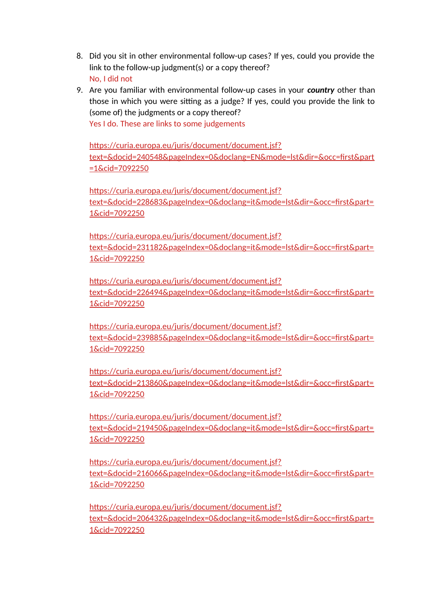- 8. Did you sit in other environmental follow-up cases? If yes, could you provide the link to the follow-up judgment(s) or a copy thereof? No, I did not
- 9. Are you familiar with environmental follow-up cases in your *country* other than those in which you were sitting as a judge? If yes, could you provide the link to (some of) the judgments or a copy thereof?

Yes I do. These are links to some judgements

[https://curia.europa.eu/juris/document/document.jsf?](https://curia.europa.eu/juris/document/document.jsf?text=&docid=240548&pageIndex=0&doclang=EN&mode=lst&dir=&occ=first&part=1&cid=7092250) [text=&docid=240548&pageIndex=0&doclang=EN&mode=lst&dir=&occ=first&part](https://curia.europa.eu/juris/document/document.jsf?text=&docid=240548&pageIndex=0&doclang=EN&mode=lst&dir=&occ=first&part=1&cid=7092250) [=1&cid=7092250](https://curia.europa.eu/juris/document/document.jsf?text=&docid=240548&pageIndex=0&doclang=EN&mode=lst&dir=&occ=first&part=1&cid=7092250)

https://curia.europa.eu/juris/document/document.jsf? text=&docid=228683&pageIndex=0&doclang=it&mode=lst&dir=&occ=first&part= 1&cid=7092250

https://curia.europa.eu/juris/document/document.jsf? text=&docid=231182&pageIndex=0&doclang=it&mode=lst&dir=&occ=first&part= 1&cid=7092250

https://curia.europa.eu/juris/document/document.jsf? text=&docid=226494&pageIndex=0&doclang=it&mode=lst&dir=&occ=first&part= 1&cid=7092250

https://curia.europa.eu/juris/document/document.jsf? text=&docid=239885&pageIndex=0&doclang=it&mode=lst&dir=&occ=first&part= 1&cid=7092250

https://curia.europa.eu/juris/document/document.jsf? text=&docid=213860&pageIndex=0&doclang=it&mode=lst&dir=&occ=first&part= 1&cid=7092250

https://curia.europa.eu/juris/document/document.jsf? text=&docid=219450&pageIndex=0&doclang=it&mode=lst&dir=&occ=first&part= 1&cid=7092250

https://curia.europa.eu/juris/document/document.jsf? text=&docid=216066&pageIndex=0&doclang=it&mode=lst&dir=&occ=first&part= 1&cid=7092250

https://curia.europa.eu/juris/document/document.jsf? text=&docid=206432&pageIndex=0&doclang=it&mode=lst&dir=&occ=first&part= 1&cid=7092250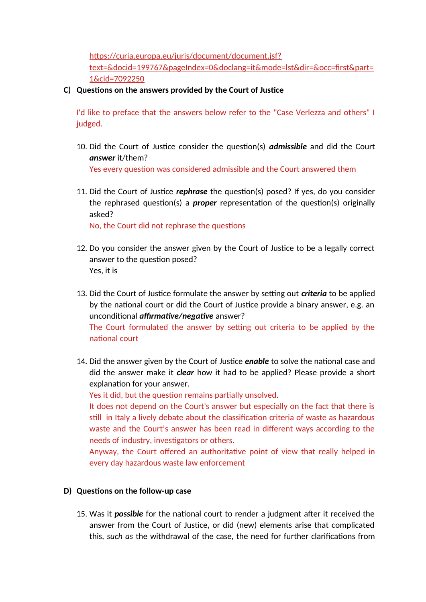[https://curia.europa.eu/juris/document/document.jsf?](https://curia.europa.eu/juris/document/document.jsf?text=&docid=199767&pageIndex=0&doclang=it&mode=lst&dir=&occ=first&part=1&cid=7092250)

[text=&docid=199767&pageIndex=0&doclang=it&mode=lst&dir=&occ=first&part=](https://curia.europa.eu/juris/document/document.jsf?text=&docid=199767&pageIndex=0&doclang=it&mode=lst&dir=&occ=first&part=1&cid=7092250) [1&cid=7092250](https://curia.europa.eu/juris/document/document.jsf?text=&docid=199767&pageIndex=0&doclang=it&mode=lst&dir=&occ=first&part=1&cid=7092250)

**C) Questions on the answers provided by the Court of Justice**

I'd like to preface that the answers below refer to the "Case Verlezza and others" I judged.

- 10. Did the Court of Justice consider the question(s) *admissible* and did the Court *answer* it/them? Yes every question was considered admissible and the Court answered them
- 11. Did the Court of Justice *rephrase* the question(s) posed? If yes, do you consider the rephrased question(s) a *proper* representation of the question(s) originally asked?

No, the Court did not rephrase the questions

- 12. Do you consider the answer given by the Court of Justice to be a legally correct answer to the question posed? Yes, it is
- 13. Did the Court of Justice formulate the answer by setting out *criteria* to be applied by the national court or did the Court of Justice provide a binary answer, e.g. an unconditional *affirmative/negative* answer? The Court formulated the answer by setting out criteria to be applied by the national court
- 14. Did the answer given by the Court of Justice *enable* to solve the national case and did the answer make it *clear* how it had to be applied? Please provide a short explanation for your answer.

Yes it did, but the question remains partially unsolved.

It does not depend on the Court's answer but especially on the fact that there is still in Italy a lively debate about the classification criteria of waste as hazardous waste and the Court's answer has been read in different ways according to the needs of industry, investigators or others.

Anyway, the Court offered an authoritative point of view that really helped in every day hazardous waste law enforcement

## **D) Questions on the follow-up case**

15. Was it *possible* for the national court to render a judgment after it received the answer from the Court of Justice, or did (new) elements arise that complicated this, *such as* the withdrawal of the case, the need for further clarifications from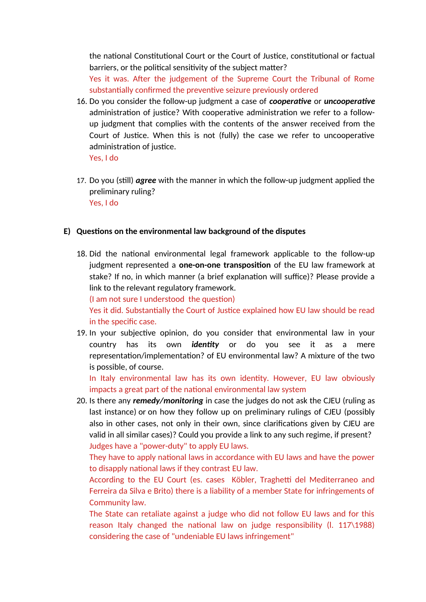the national Constitutional Court or the Court of Justice, constitutional or factual barriers, or the political sensitivity of the subject matter?

Yes it was. After the judgement of the Supreme Court the Tribunal of Rome substantially confirmed the preventive seizure previously ordered

16. Do you consider the follow-up judgment a case of *cooperative* or *uncooperative* administration of justice? With cooperative administration we refer to a followup judgment that complies with the contents of the answer received from the Court of Justice. When this is not (fully) the case we refer to uncooperative administration of justice.

Yes, I do

17. Do you (still) *agree* with the manner in which the follow-up judgment applied the preliminary ruling? Yes, I do

## **E) Questions on the environmental law background of the disputes**

18. Did the national environmental legal framework applicable to the follow-up judgment represented a **one-on-one transposition** of the EU law framework at stake? If no, in which manner (a brief explanation will suffice)? Please provide a link to the relevant regulatory framework.

(I am not sure I understood the question)

Yes it did. Substantially the Court of Justice explained how EU law should be read in the specific case.

19. In your subjective opinion, do you consider that environmental law in your country has its own *identity* or do you see it as a mere representation/implementation? of EU environmental law? A mixture of the two is possible, of course.

In Italy environmental law has its own identity. However, EU law obviously impacts a great part of the national environmental law system

20. Is there any *remedy/monitoring* in case the judges do not ask the CJEU (ruling as last instance) or on how they follow up on preliminary rulings of CJEU (possibly also in other cases, not only in their own, since clarifications given by CJEU are valid in all similar cases)? Could you provide a link to any such regime, if present? Judges have a "power-duty" to apply EU laws.

They have to apply national laws in accordance with EU laws and have the power to disapply national laws if they contrast EU law.

According to the EU Court (es. cases Köbler, Traghetti del Mediterraneo and Ferreira da Silva e Brito) there is a liability of a member State for infringements of Community law.

The State can retaliate against a judge who did not follow EU laws and for this reason Italy changed the national law on judge responsibility (l. 117\1988) considering the case of "undeniable EU laws infringement"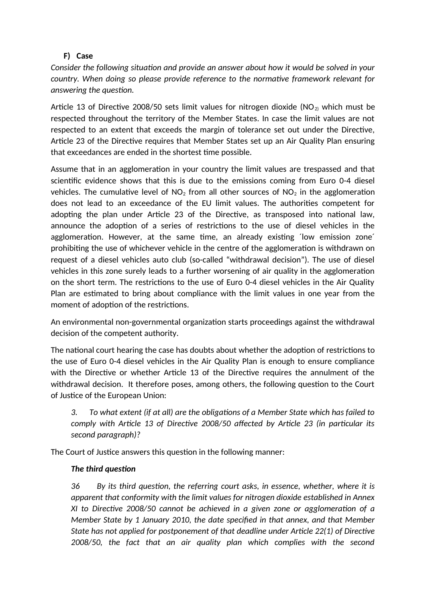## **F) Case**

*Consider the following situation and provide an answer about how it would be solved in your country. When doing so please provide reference to the normative framework relevant for answering the question.*

Article 13 of Directive 2008/50 sets limit values for nitrogen dioxide ( $NO<sub>2</sub>$ ) which must be respected throughout the territory of the Member States. In case the limit values are not respected to an extent that exceeds the margin of tolerance set out under the Directive, Article 23 of the Directive requires that Member States set up an Air Quality Plan ensuring that exceedances are ended in the shortest time possible.

Assume that in an agglomeration in your country the limit values are trespassed and that scientific evidence shows that this is due to the emissions coming from Euro 0-4 diesel vehicles. The cumulative level of  $NO<sub>2</sub>$  from all other sources of  $NO<sub>2</sub>$  in the agglomeration does not lead to an exceedance of the EU limit values. The authorities competent for adopting the plan under Article 23 of the Directive, as transposed into national law, announce the adoption of a series of restrictions to the use of diesel vehicles in the agglomeration. However, at the same time, an already existing ´low emission zone´ prohibiting the use of whichever vehicle in the centre of the agglomeration is withdrawn on request of a diesel vehicles auto club (so-called "withdrawal decision"). The use of diesel vehicles in this zone surely leads to a further worsening of air quality in the agglomeration on the short term. The restrictions to the use of Euro 0-4 diesel vehicles in the Air Quality Plan are estimated to bring about compliance with the limit values in one year from the moment of adoption of the restrictions.

An environmental non-governmental organization starts proceedings against the withdrawal decision of the competent authority.

The national court hearing the case has doubts about whether the adoption of restrictions to the use of Euro 0-4 diesel vehicles in the Air Quality Plan is enough to ensure compliance with the Directive or whether Article 13 of the Directive requires the annulment of the withdrawal decision. It therefore poses, among others, the following question to the Court of Justice of the European Union:

*3. To what extent (if at all) are the obligations of a Member State which has failed to comply with Article 13 of Directive 2008/50 affected by Article 23 (in particular its second paragraph)?*

The Court of Justice answers this question in the following manner:

## *The third question*

*36 By its third question, the referring court asks, in essence, whether, where it is apparent that conformity with the limit values for nitrogen dioxide established in Annex XI to Directive 2008/50 cannot be achieved in a given zone or agglomeration of a Member State by 1 January 2010, the date specified in that annex, and that Member State has not applied for postponement of that deadline under Article 22(1) of Directive 2008/50, the fact that an air quality plan which complies with the second*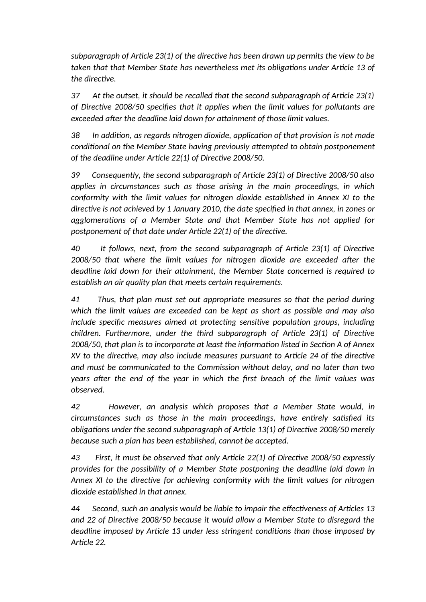*subparagraph of Article 23(1) of the directive has been drawn up permits the view to be taken that that Member State has nevertheless met its obligations under Article 13 of the directive.*

*37 At the outset, it should be recalled that the second subparagraph of Article 23(1) of Directive 2008/50 specifies that it applies when the limit values for pollutants are exceeded after the deadline laid down for attainment of those limit values.*

*38 In addition, as regards nitrogen dioxide, application of that provision is not made conditional on the Member State having previously attempted to obtain postponement of the deadline under Article 22(1) of Directive 2008/50.*

*39 Consequently, the second subparagraph of Article 23(1) of Directive 2008/50 also applies in circumstances such as those arising in the main proceedings, in which conformity with the limit values for nitrogen dioxide established in Annex XI to the directive is not achieved by 1 January 2010, the date specified in that annex, in zones or agglomerations of a Member State and that Member State has not applied for postponement of that date under Article 22(1) of the directive.*

*40 It follows, next, from the second subparagraph of Article 23(1) of Directive 2008/50 that where the limit values for nitrogen dioxide are exceeded after the deadline laid down for their attainment, the Member State concerned is required to establish an air quality plan that meets certain requirements.*

*41 Thus, that plan must set out appropriate measures so that the period during which the limit values are exceeded can be kept as short as possible and may also include specific measures aimed at protecting sensitive population groups, including children. Furthermore, under the third subparagraph of Article 23(1) of Directive 2008/50, that plan is to incorporate at least the information listed in Section A of Annex XV to the directive, may also include measures pursuant to Article 24 of the directive and must be communicated to the Commission without delay, and no later than two years after the end of the year in which the first breach of the limit values was observed.*

*42 However, an analysis which proposes that a Member State would, in circumstances such as those in the main proceedings, have entirely satisfied its obligations under the second subparagraph of Article 13(1) of Directive 2008/50 merely because such a plan has been established, cannot be accepted.*

*43 First, it must be observed that only Article 22(1) of Directive 2008/50 expressly provides for the possibility of a Member State postponing the deadline laid down in Annex XI to the directive for achieving conformity with the limit values for nitrogen dioxide established in that annex.*

*44 Second, such an analysis would be liable to impair the effectiveness of Articles 13 and 22 of Directive 2008/50 because it would allow a Member State to disregard the deadline imposed by Article 13 under less stringent conditions than those imposed by Article 22.*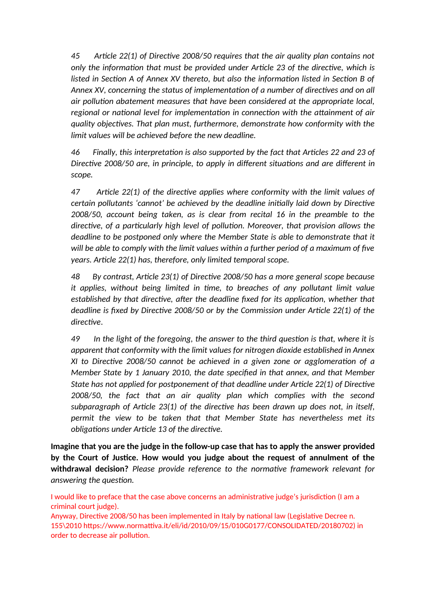*45 Article 22(1) of Directive 2008/50 requires that the air quality plan contains not only the information that must be provided under Article 23 of the directive, which is listed in Section A of Annex XV thereto, but also the information listed in Section B of Annex XV, concerning the status of implementation of a number of directives and on all air pollution abatement measures that have been considered at the appropriate local, regional or national level for implementation in connection with the attainment of air quality objectives. That plan must, furthermore, demonstrate how conformity with the limit values will be achieved before the new deadline.*

*46 Finally, this interpretation is also supported by the fact that Articles 22 and 23 of Directive 2008/50 are, in principle, to apply in different situations and are different in scope.*

*47 Article 22(1) of the directive applies where conformity with the limit values of certain pollutants 'cannot' be achieved by the deadline initially laid down by Directive 2008/50, account being taken, as is clear from recital 16 in the preamble to the directive, of a particularly high level of pollution. Moreover, that provision allows the deadline to be postponed only where the Member State is able to demonstrate that it will be able to comply with the limit values within a further period of a maximum of five years. Article 22(1) has, therefore, only limited temporal scope.*

*48 By contrast, Article 23(1) of Directive 2008/50 has a more general scope because it applies, without being limited in time, to breaches of any pollutant limit value established by that directive, after the deadline fixed for its application, whether that deadline is fixed by Directive 2008/50 or by the Commission under Article 22(1) of the directive*.

*49 In the light of the foregoing, the answer to the third question is that, where it is apparent that conformity with the limit values for nitrogen dioxide established in Annex XI to Directive 2008/50 cannot be achieved in a given zone or agglomeration of a Member State by 1 January 2010, the date specified in that annex, and that Member State has not applied for postponement of that deadline under Article 22(1) of Directive 2008/50, the fact that an air quality plan which complies with the second subparagraph of Article 23(1) of the directive has been drawn up does not, in itself, permit the view to be taken that that Member State has nevertheless met its obligations under Article 13 of the directive.*

**Imagine that you are the judge in the follow-up case that has to apply the answer provided by the Court of Justice. How would you judge about the request of annulment of the withdrawal decision?** *Please provide reference to the normative framework relevant for answering the question.*

I would like to preface that the case above concerns an administrative judge's jurisdiction (I am a criminal court judge).

Anyway, Directive 2008/50 has been implemented in Italy by national law (Legislative Decree n. 155\2010 https://www.normattiva.it/eli/id/2010/09/15/010G0177/CONSOLIDATED/20180702) in order to decrease air pollution.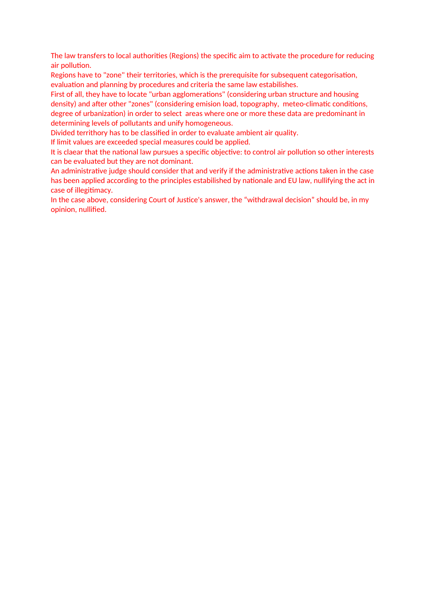The law transfers to local authorities (Regions) the specific aim to activate the procedure for reducing air pollution.

Regions have to "zone" their territories, which is the prerequisite for subsequent categorisation, evaluation and planning by procedures and criteria the same law estabilishes.

First of all, they have to locate "urban agglomerations" (considering urban structure and housing density) and after other "zones" (considering emision load, topography, meteo-climatic conditions, degree of urbanization) in order to select areas where one or more these data are predominant in determining levels of pollutants and unify homogeneous.

Divided territhory has to be classified in order to evaluate ambient air quality.

If limit values are exceeded special measures could be applied.

It is claear that the national law pursues a specific objective: to control air pollution so other interests can be evaluated but they are not dominant.

An administrative judge should consider that and verify if the administrative actions taken in the case has been applied according to the principles estabilished by nationale and EU law, nullifying the act in case of illegitimacy.

In the case above, considering Court of Justice's answer, the "withdrawal decision" should be, in my opinion, nullified.